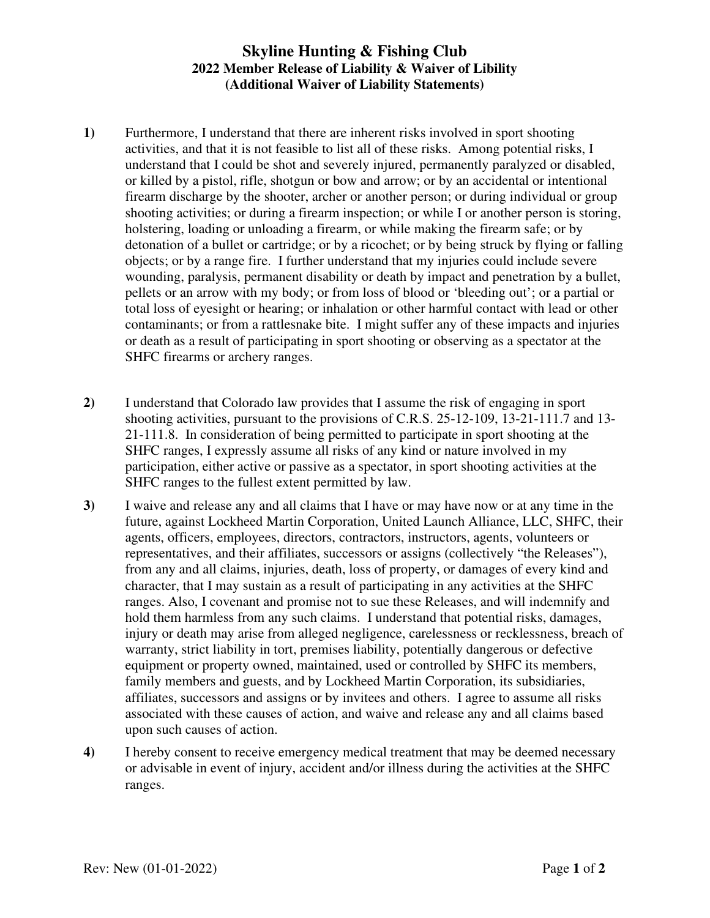## **Skyline Hunting & Fishing Club 2022 Member Release of Liability & Waiver of Libility (Additional Waiver of Liability Statements)**

- **1)** Furthermore, I understand that there are inherent risks involved in sport shooting activities, and that it is not feasible to list all of these risks. Among potential risks, I understand that I could be shot and severely injured, permanently paralyzed or disabled, or killed by a pistol, rifle, shotgun or bow and arrow; or by an accidental or intentional firearm discharge by the shooter, archer or another person; or during individual or group shooting activities; or during a firearm inspection; or while I or another person is storing, holstering, loading or unloading a firearm, or while making the firearm safe; or by detonation of a bullet or cartridge; or by a ricochet; or by being struck by flying or falling objects; or by a range fire. I further understand that my injuries could include severe wounding, paralysis, permanent disability or death by impact and penetration by a bullet, pellets or an arrow with my body; or from loss of blood or 'bleeding out'; or a partial or total loss of eyesight or hearing; or inhalation or other harmful contact with lead or other contaminants; or from a rattlesnake bite. I might suffer any of these impacts and injuries or death as a result of participating in sport shooting or observing as a spectator at the SHFC firearms or archery ranges.
- **2)** I understand that Colorado law provides that I assume the risk of engaging in sport shooting activities, pursuant to the provisions of C.R.S. 25-12-109, 13-21-111.7 and 13- 21-111.8. In consideration of being permitted to participate in sport shooting at the SHFC ranges, I expressly assume all risks of any kind or nature involved in my participation, either active or passive as a spectator, in sport shooting activities at the SHFC ranges to the fullest extent permitted by law.
- **3)** I waive and release any and all claims that I have or may have now or at any time in the future, against Lockheed Martin Corporation, United Launch Alliance, LLC, SHFC, their agents, officers, employees, directors, contractors, instructors, agents, volunteers or representatives, and their affiliates, successors or assigns (collectively "the Releases"), from any and all claims, injuries, death, loss of property, or damages of every kind and character, that I may sustain as a result of participating in any activities at the SHFC ranges. Also, I covenant and promise not to sue these Releases, and will indemnify and hold them harmless from any such claims. I understand that potential risks, damages, injury or death may arise from alleged negligence, carelessness or recklessness, breach of warranty, strict liability in tort, premises liability, potentially dangerous or defective equipment or property owned, maintained, used or controlled by SHFC its members, family members and guests, and by Lockheed Martin Corporation, its subsidiaries, affiliates, successors and assigns or by invitees and others. I agree to assume all risks associated with these causes of action, and waive and release any and all claims based upon such causes of action.
- **4)** I hereby consent to receive emergency medical treatment that may be deemed necessary or advisable in event of injury, accident and/or illness during the activities at the SHFC ranges.